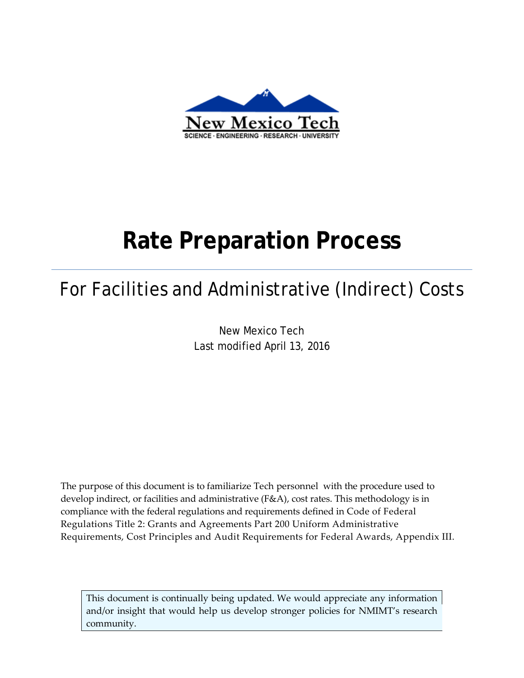

# **Rate Preparation Process**

# For Facilities and Administrative (Indirect) Costs

New Mexico Tech Last modified April 13, 2016

The purpose of this document is to familiarize Tech personnel with the procedure used to develop indirect, or facilities and administrative  $(F&A)$ , cost rates. This methodology is in compliance with the federal regulations and requirements defined in Code of Federal Regulations Title 2: Grants and Agreements Part 200 Uniform Administrative Requirements, Cost Principles and Audit Requirements for Federal Awards, Appendix III.

This document is continually being updated. We would appreciate any information and/or insight that would help us develop stronger policies for NMIMT's research community.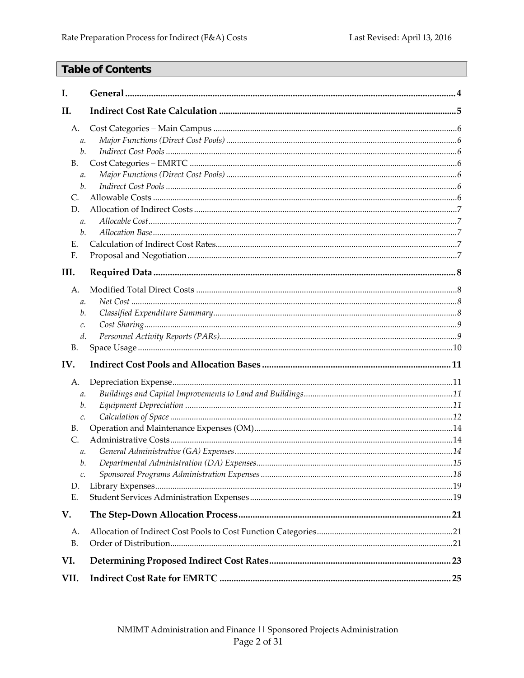# **Table of Contents**

| I.              |  |
|-----------------|--|
| II.             |  |
| А.              |  |
| a.              |  |
| b.              |  |
| В.              |  |
| a.              |  |
| b.              |  |
| C.              |  |
| D.              |  |
| $a$ .           |  |
| $b$ .           |  |
| Е.              |  |
| F.              |  |
| III.            |  |
| A.              |  |
| a.              |  |
| b.              |  |
| c.              |  |
| d.              |  |
| В.              |  |
| IV.             |  |
| А.              |  |
| a.              |  |
| $b$ .           |  |
| c.              |  |
| В.              |  |
| C.              |  |
| $a$ .           |  |
| b.              |  |
| $\mathcal{C}$ . |  |
| D.              |  |
| Ε.              |  |
| V.              |  |
| А.              |  |
| B.              |  |
| VI.             |  |
| VII.            |  |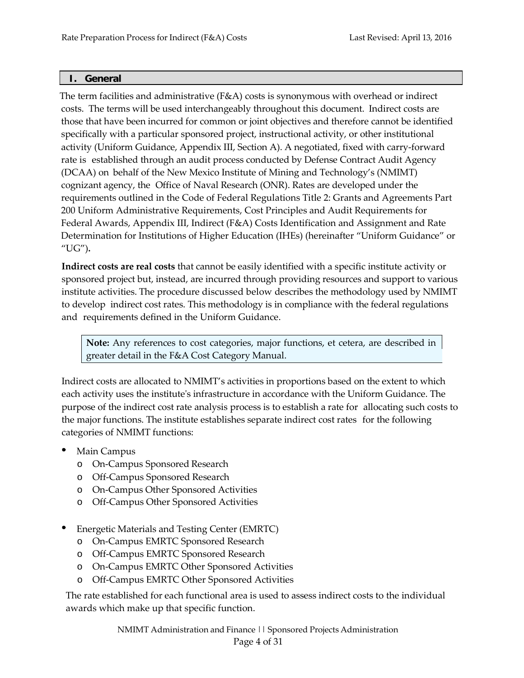#### <span id="page-3-0"></span>**I. General**

The term facilities and administrative (F&A) costs is synonymous with overhead or indirect costs. The terms will be used interchangeably throughout this document. Indirect costs are those that have been incurred for common or joint objectives and therefore cannot be identified specifically with a particular sponsored project, instructional activity, or other institutional activity (Uniform Guidance, Appendix III, Section A). A negotiated, fixed with carry-forward rate is established through an audit process conducted by Defense Contract Audit Agency (DCAA) on behalf of the New Mexico Institute of Mining and Technology's (NMIMT) cognizant agency, the Office of Naval Research (ONR). Rates are developed under the requirements outlined in the Code of Federal Regulations Title 2: Grants and Agreements Part 200 Uniform Administrative Requirements, Cost Principles and Audit Requirements for Federal Awards, Appendix III, Indirect (F&A) Costs Identification and Assignment and Rate Determination for Institutions of Higher Education (IHEs) (hereinafter "Uniform Guidance" or "UG")**.**

**Indirect costs are real costs** that cannot be easily identified with a specific institute activity or sponsored project but, instead, are incurred through providing resources and support to various institute activities. The procedure discussed below describes the methodology used by NMIMT to develop indirect cost rates. This methodology is in compliance with the federal regulations and requirements defined in the Uniform Guidance.

**Note:** Any references to cost categories, major functions, et cetera, are described in greater detail in the F&A Cost Category Manual.

Indirect costs are allocated to NMIMT's activities in proportions based on the extent to which each activity uses the institute's infrastructure in accordance with the Uniform Guidance. The purpose of the indirect cost rate analysis process is to establish a rate for allocating such costs to the major functions. The institute establishes separate indirect cost rates for the following categories of NMIMT functions:

- Main Campus
	- o On-Campus Sponsored Research
	- o Off-Campus Sponsored Research
	- o On-Campus Other Sponsored Activities
	- o Off-Campus Other Sponsored Activities
- Energetic Materials and Testing Center (EMRTC)
	- o On-Campus EMRTC Sponsored Research
	- o Off-Campus EMRTC Sponsored Research
	- o On-Campus EMRTC Other Sponsored Activities
	- Off-Campus EMRTC Other Sponsored Activities

The rate established for each functional area is used to assess indirect costs to the individual awards which make up that specific function.

> NMIMT Administration and Finance | | Sponsored Projects Administration Page 4 of 31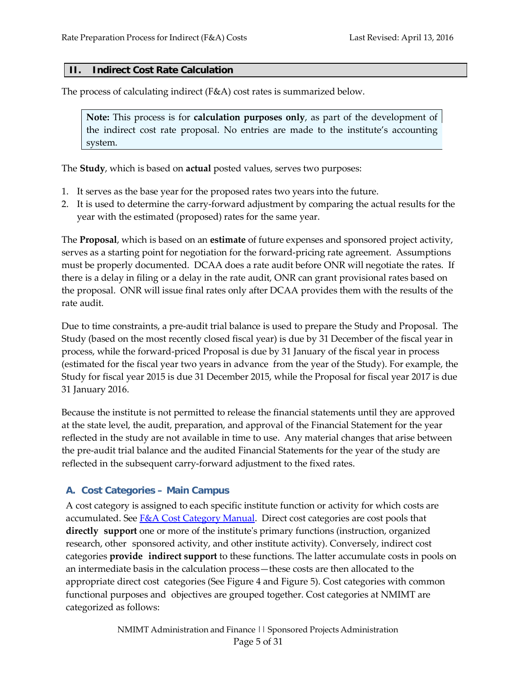#### <span id="page-4-0"></span>**II. Indirect Cost Rate Calculation**

The process of calculating indirect (F&A) cost rates is summarized below.

**Note:** This process is for **calculation purposes only**, as part of the development of the indirect cost rate proposal. No entries are made to the institute's accounting system.

The **Study**, which is based on **actual** posted values, serves two purposes:

- 1. It serves as the base year for the proposed rates two years into the future.
- 2. It is used to determine the carry-forward adjustment by comparing the actual results for the year with the estimated (proposed) rates for the same year.

The **Proposal**, which is based on an **estimate** of future expenses and sponsored project activity, serves as a starting point for negotiation for the forward-pricing rate agreement. Assumptions must be properly documented. DCAA does a rate audit before ONR will negotiate the rates. If there is a delay in filing or a delay in the rate audit, ONR can grant provisional rates based on the proposal. ONR will issue final rates only after DCAA provides them with the results of the rate audit.

Due to time constraints, a pre-audit trial balance is used to prepare the Study and Proposal. The Study (based on the most recently closed fiscal year) is due by 31 December of the fiscal year in process, while the forward-priced Proposal is due by 31 January of the fiscal year in process (estimated for the fiscal year two years in advance from the year of the Study). For example, the Study for fiscal year 2015 is due 31 December 2015, while the Proposal for fiscal year 2017 is due 31 January 2016.

Because the institute is not permitted to release the financial statements until they are approved at the state level, the audit, preparation, and approval of the Financial Statement for the year reflected in the study are not available in time to use. Any material changes that arise between the pre-audit trial balance and the audited Financial Statements for the year of the study are reflected in the subsequent carry-forward adjustment to the fixed rates.

# **A. Cost Categories – Main Campus**

A cost category is assigned to each specific institute function or activity for which costs are accumulated. See F&A Cost Category Manual. Direct cost categories are cost pools that **directly support** one or more of the institute's primary functions (instruction, organized research, other sponsored activity, and other institute activity). Conversely, indirect cost categories **provide indirect support** to these functions. The latter accumulate costs in pools on an intermediate basis in the calculation process—these costs are then allocated to the appropriate direct cost categories (See [Figure](#page-21-0) 4 and [Figure](#page-21-1) 5). Cost categories with common functional purposes and objectives are grouped together. Cost categories at NMIMT are categorized as follows: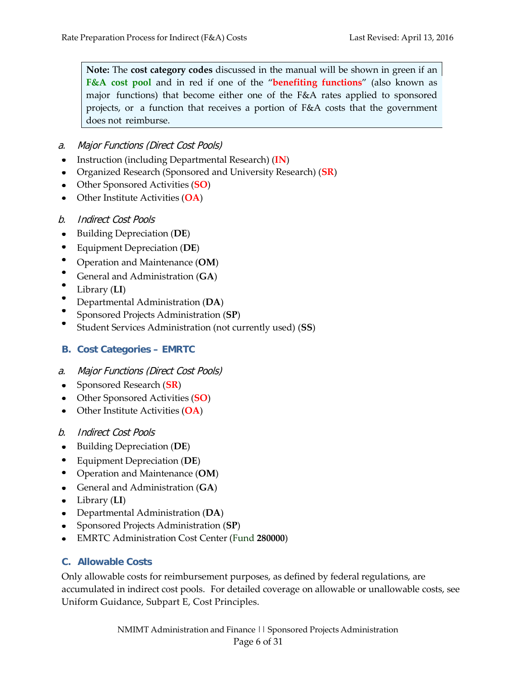<span id="page-5-0"></span>**Note:** The **cost category codes** discussed in the manual will be shown in green if an **F&A cost pool** and in red if one of the "**benefiting functions**" (also known as major functions) that become either one of the F&A rates applied to sponsored projects, or a function that receives a portion of F&A costs that the government does not reimburse.

- <span id="page-5-1"></span>a. Major Functions (Direct Cost Pools)
- Instruction (including Departmental Research) (**IN**)  $\bullet$
- Organized Research (Sponsored and University Research) (**SR**)
- Other Sponsored Activities (**SO**)
- Other Institute Activities (**OA**)
- <span id="page-5-2"></span>b. Indirect Cost Pools
- Building Depreciation (**DE**)
- Equipment Depreciation (**DE**)
- $\bullet$ Operation and Maintenance (**OM**)
- General and Administration (**GA**)
- Library (**LI**)
- Departmental Administration (**DA**)
- Sponsored Projects Administration (**SP**)
- Student Services Administration (not currently used) (**SS**)
- <span id="page-5-3"></span>**B. Cost Categories – EMRTC**
- <span id="page-5-4"></span>a. Major Functions (Direct Cost Pools)
- $\bullet$ Sponsored Research (**SR**)
- Other Sponsored Activities (**SO**)
- Other Institute Activities (**OA**)
- <span id="page-5-5"></span>b. Indirect Cost Pools
- Building Depreciation (**DE**)
- Equipment Depreciation (**DE**)
- Operation and Maintenance (**OM**)
- General and Administration (**GA**)
- Library (**LI**)
- Departmental Administration (**DA**)
- Sponsored Projects Administration (**SP**)
- EMRTC Administration Cost Center (Fund **280000**)

# **C. Allowable Costs**

Only allowable costs for reimbursement purposes, as defined by federal regulations, are accumulated in indirect cost pools. For detailed coverage on allowable or unallowable costs, see Uniform Guidance, Subpart E, Cost Principles.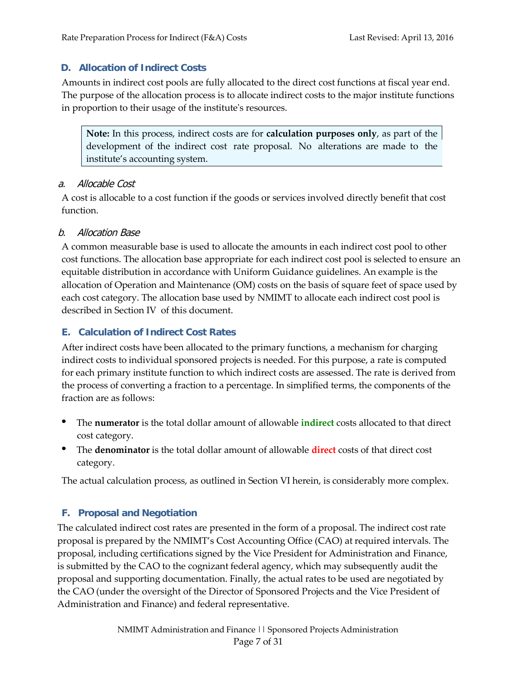#### <span id="page-6-1"></span><span id="page-6-0"></span>**D. Allocation of Indirect Costs**

Amounts in indirect cost pools are fully allocated to the direct cost functions at fiscal year end. The purpose of the allocation process is to allocate indirect costs to the major institute functions in proportion to their usage of the institute's resources.

**Note:** In this process, indirect costs are for **calculation purposes only**, as part of the development of the indirect cost rate proposal. No alterations are made to the institute's accounting system.

#### <span id="page-6-2"></span>a. Allocable Cost

A cost is allocable to a cost function if the goods or services involved directly benefit that cost function.

#### <span id="page-6-3"></span>b. Allocation Base

A common measurable base is used to allocate the amounts in each indirect cost pool to other cost functions. The allocation base appropriate for each indirect cost pool is selected to ensure an equitable distribution in accordance with Uniform Guidance guidelines. An example is the allocation of Operation and Maintenance (OM) costs on the basis of square feet of space used by each cost category. The allocation base used by NMIMT to allocate each indirect cost pool is described in Section [IV](#page-10-0) of this document.

# <span id="page-6-4"></span>**E. Calculation of Indirect Cost Rates**

After indirect costs have been allocated to the primary functions, a mechanism for charging indirect costs to individual sponsored projects is needed. For this purpose, a rate is computed for each primary institute function to which indirect costs are assessed. The rate is derived from the process of converting a fraction to a percentage. In simplified terms, the components of the fraction are as follows:

- The **numerator** is the total dollar amount of allowable **indirect** costs allocated to that direct cost category.
- The **denominator** is the total dollar amount of allowable **direct** costs of that direct cost category.

The actual calculation process, as outlined in Sectio[n VI](#page-22-0) herein, is considerably more complex.

# **F. Proposal and Negotiation**

The calculated indirect cost rates are presented in the form of a proposal. The indirect cost rate proposal is prepared by the NMIMT's Cost Accounting Office (CAO) at required intervals. The proposal, including certifications signed by the Vice President for Administration and Finance, is submitted by the CAO to the cognizant federal agency, which may subsequently audit the proposal and supporting documentation. Finally, the actual rates to be used are negotiated by the CAO (under the oversight of the Director of Sponsored Projects and the Vice President of Administration and Finance) and federal representative.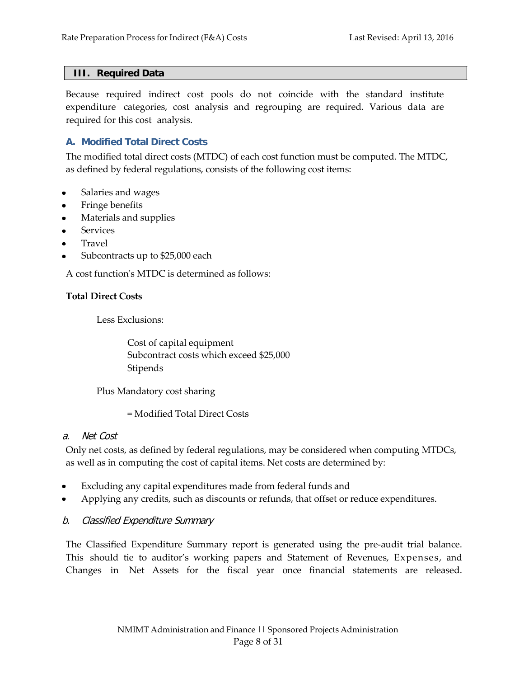#### <span id="page-7-1"></span><span id="page-7-0"></span>**III. Required Data**

Because required indirect cost pools do not coincide with the standard institute expenditure categories, cost analysis and regrouping are required. Various data are required for this cost analysis.

# <span id="page-7-2"></span>**A. Modified Total Direct Costs**

The modified total direct costs (MTDC) of each cost function must be computed. The MTDC, as defined by federal regulations, consists of the following cost items:

- Salaries and wages
- Fringe benefits  $\bullet$
- Materials and supplies
- Services
- Travel
- Subcontracts up to \$25,000 each

A cost function's MTDC is determined as follows:

#### **Total Direct Costs**

Less Exclusions:

Cost of capital equipment Subcontract costs which exceed \$25,000 Stipends

Plus Mandatory cost sharing

= Modified Total Direct Costs

# <span id="page-7-3"></span>a. Net Cost

Only net costs, as defined by federal regulations, may be considered when computing MTDCs, as well as in computing the cost of capital items. Net costs are determined by:

- Excluding any capital expenditures made from federal funds and
- Applying any credits, such as discounts or refunds, that offset or reduce expenditures.

# <span id="page-7-4"></span>b. Classified Expenditure Summary

The Classified Expenditure Summary report is generated using the pre-audit trial balance. This should tie to auditor's working papers and Statement of Revenues, Expenses, and Changes in Net Assets for the fiscal year once financial statements are released.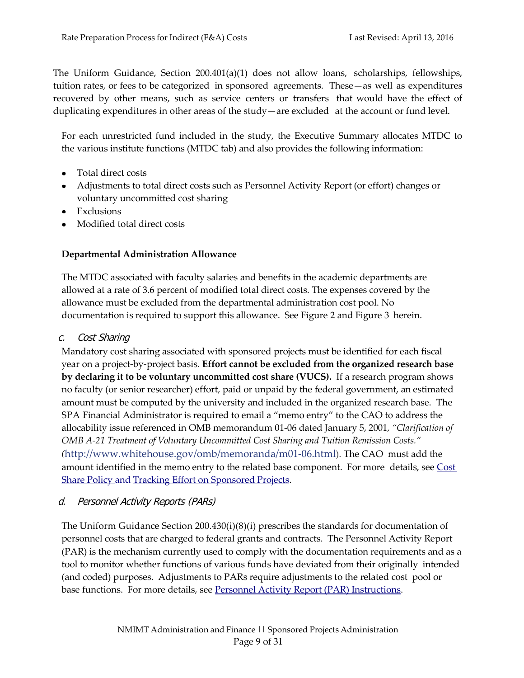The Uniform Guidance, Section 200.401(a)(1) does not allow loans, scholarships, fellowships, tuition rates, or fees to be categorized in sponsored agreements. These—as well as expenditures recovered by other means, such as service centers or transfers that would have the effect of duplicating expenditures in other areas of the study—are excluded at the account or fund level.

For each unrestricted fund included in the study, the Executive Summary allocates MTDC to the various institute functions (MTDC tab) and also provides the following information:

- Total direct costs
- Adjustments to total direct costs such as Personnel Activity Report (or effort) changes or voluntary uncommitted cost sharing
- Exclusions
- Modified total direct costs

#### **Departmental Administration Allowance**

The MTDC associated with faculty salaries and benefits in the academic departments are allowed at a rate of 3.6 percent of modified total direct costs. The expenses covered by the allowance must be excluded from the departmental administration cost pool. No documentation is required to support this allowance. See [Figure](#page-15-0) 2 and [Figure](#page-16-0) 3 herein.

#### <span id="page-8-0"></span>c. Cost Sharing

Mandatory cost sharing associated with sponsored projects must be identified for each fiscal year on a project-by-project basis. **Effort cannot be excluded from the organized research base by declaring it to be voluntary uncommitted cost share (VUCS).** If a research program shows no faculty (or senior researcher) effort, paid or unpaid by the federal government, an estimated amount must be computed by the university and included in the organized research base. The SPA Financial Administrator is required to email a "memo entry" to the CAO to address the allocability issue referenced in OMB memorandum 01-06 dated January 5, 2001, *"Clarification of OMB A-21 Treatment of Voluntary Uncommitted Cost Sharing and Tuition Remission Costs." (*[http://www.whitehouse.gov/omb/memoranda/m01-06.html\)](http://www.whitehouse.gov/omb/memoranda/m01-06.html). The CAO must add the amount identified in the memo entry to the related base component. For more details, see Cost Share Policy and Tracking Effort on Sponsored Projects.

#### <span id="page-8-1"></span>d. Personnel Activity Reports (PARs)

The Uniform Guidance Section 200.430(i)(8)(i) prescribes the standards for documentation of personnel costs that are charged to federal grants and contracts. The Personnel Activity Report (PAR) is the mechanism currently used to comply with the documentation requirements and as a tool to monitor whether functions of various funds have deviated from their originally intended (and coded) purposes. Adjustments to PARs require adjustments to the related cost pool or base functions. For more details, see Personnel Activity Report (PAR) Instructions.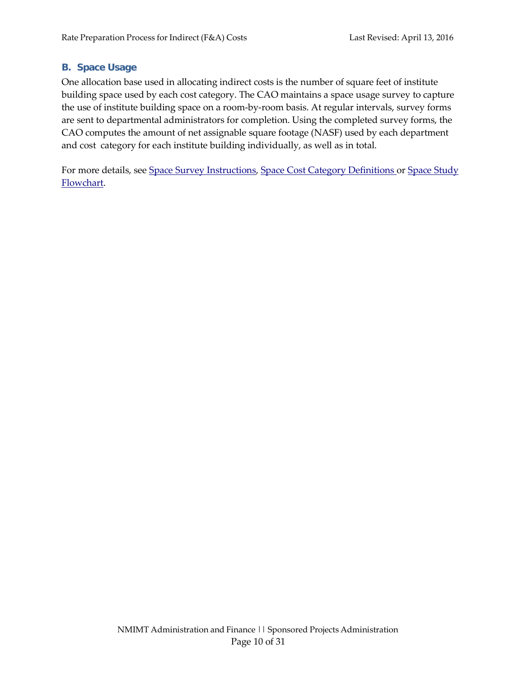#### <span id="page-9-0"></span>**B. Space Usage**

One allocation base used in allocating indirect costs is the number of square feet of institute building space used by each cost category. The CAO maintains a space usage survey to capture the use of institute building space on a room-by-room basis. At regular intervals, survey forms are sent to departmental administrators for completion. Using the completed survey forms, the CAO computes the amount of net assignable square footage (NASF) used by each department and cost category for each institute building individually, as well as in total.

For more details, see Space Survey Instructions, Space Cost Category Definitions or Space Study Flowchart.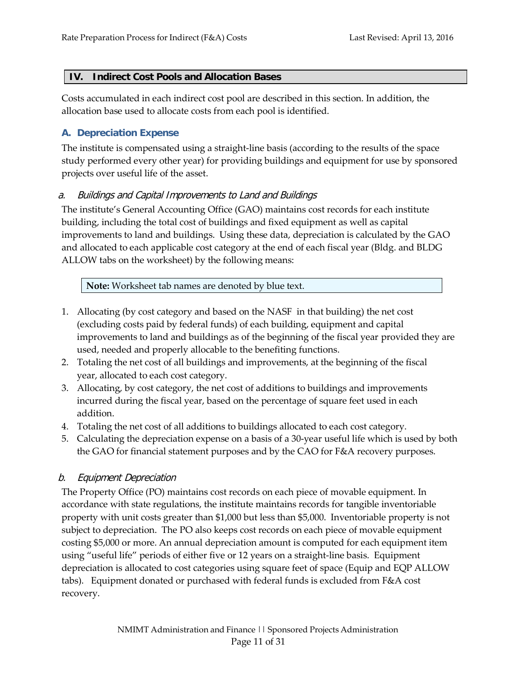#### <span id="page-10-0"></span>**IV. Indirect Cost Pools and Allocation Bases**

Costs accumulated in each indirect cost pool are described in this section. In addition, the allocation base used to allocate costs from each pool is identified.

# <span id="page-10-1"></span>**A. Depreciation Expense**

The institute is compensated using a straight-line basis (according to the results of the space study performed every other year) for providing buildings and equipment for use by sponsored projects over useful life of the asset.

# <span id="page-10-2"></span>a. Buildings and Capital Improvements to Land and Buildings

The institute's General Accounting Office (GAO) maintains cost records for each institute building, including the total cost of buildings and fixed equipment as well as capital improvements to land and buildings. Using these data, depreciation is calculated by the GAO and allocated to each applicable cost category at the end of each fiscal year (Bldg. and BLDG ALLOW tabs on the worksheet) by the following means:

**Note:** Worksheet tab names are denoted by blue text.

- 1. Allocating (by cost category and based on the NASF in that building) the net cost (excluding costs paid by federal funds) of each building, equipment and capital improvements to land and buildings as of the beginning of the fiscal year provided they are used, needed and properly allocable to the benefiting functions.
- 2. Totaling the net cost of all buildings and improvements, at the beginning of the fiscal year, allocated to each cost category.
- 3. Allocating, by cost category, the net cost of additions to buildings and improvements incurred during the fiscal year, based on the percentage of square feet used in each addition.
- 4. Totaling the net cost of all additions to buildings allocated to each cost category.
- 5. Calculating the depreciation expense on a basis of a 30-year useful life which is used by both the GAO for financial statement purposes and by the CAO for F&A recovery purposes.

# b. Equipment Depreciation

The Property Office (PO) maintains cost records on each piece of movable equipment. In accordance with state regulations, the institute maintains records for tangible inventoriable property with unit costs greater than \$1,000 but less than \$5,000. Inventoriable property is not subject to depreciation. The PO also keeps cost records on each piece of movable equipment costing \$5,000 or more. An annual depreciation amount is computed for each equipment item using "useful life" periods of either five or 12 years on a straight-line basis. Equipment depreciation is allocated to cost categories using square feet of space (Equip and EQP ALLOW tabs). Equipment donated or purchased with federal funds is excluded from F&A cost recovery.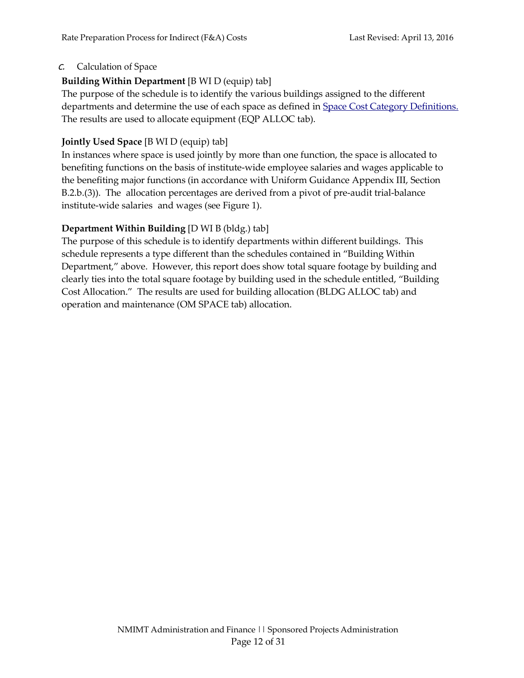# <span id="page-11-1"></span><span id="page-11-0"></span>c. Calculation of Space

# **Building Within Department** [B WI D (equip) tab]

The purpose of the schedule is to identify the various buildings assigned to the different departments and determine the use of each space as defined in **Space Cost Category Definitions**. The results are used to allocate equipment (EQP ALLOC tab).

# **Jointly Used Space** [B WI D (equip) tab]

In instances where space is used jointly by more than one function, the space is allocated to benefiting functions on the basis of institute-wide employee salaries and wages applicable to the benefiting major functions (in accordance with Uniform Guidance Appendix III, Section B.2.b.(3)). The allocation percentages are derived from a pivot of pre-audit trial-balance institute-wide salaries and wages (see [Figure](#page-12-0) 1).

# **Department Within Building** [D WI B (bldg.) tab]

The purpose of this schedule is to identify departments within different buildings. This schedule represents a type different than the schedules contained in "Building Within Department," above. However, this report does show total square footage by building and clearly ties into the total square footage by building used in the schedule entitled, "Building Cost Allocation." The results are used for building allocation (BLDG ALLOC tab) and operation and maintenance (OM SPACE tab) allocation.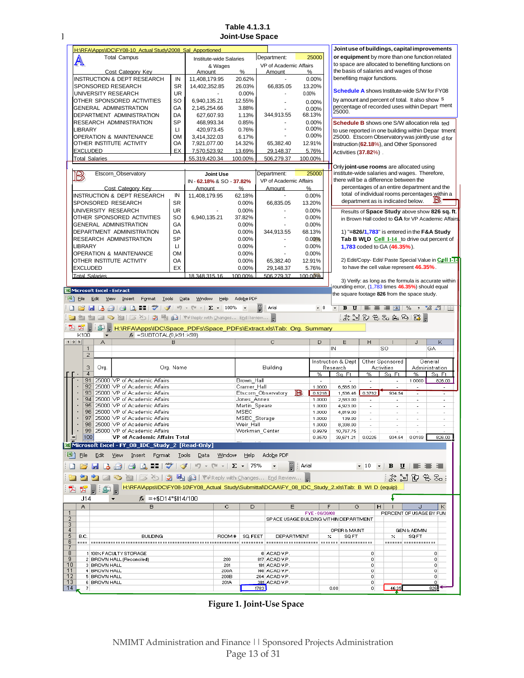Rate Preparation Process for Indirect (F&A) Costs Last Revised: August 25, 2011 **Joint-Use Space Table 4.1.3.1**

|                 | H:\RFA\Apps\IDC\FY08-10 Actual Studv\2008 Sal Apportioned                                                                                                                                                                                                                                                                                                                                                                                                                                                                                         |                 |                                 |                         |                       | Department:                            |                                                                                             |   |                                                   |                                                      | Joint use of buildings, capital improvements                                                        |                                |                                                      |
|-----------------|---------------------------------------------------------------------------------------------------------------------------------------------------------------------------------------------------------------------------------------------------------------------------------------------------------------------------------------------------------------------------------------------------------------------------------------------------------------------------------------------------------------------------------------------------|-----------------|---------------------------------|-------------------------|-----------------------|----------------------------------------|---------------------------------------------------------------------------------------------|---|---------------------------------------------------|------------------------------------------------------|-----------------------------------------------------------------------------------------------------|--------------------------------|------------------------------------------------------|
|                 | <b>Total Campus</b><br>$\mathbb A$                                                                                                                                                                                                                                                                                                                                                                                                                                                                                                                |                 |                                 | Institute-wide Salaries |                       |                                        | 25000                                                                                       |   |                                                   |                                                      | or equipment by more than one function related<br>to space are allocated to benefiting functions on |                                |                                                      |
|                 | Cost Category Key                                                                                                                                                                                                                                                                                                                                                                                                                                                                                                                                 |                 | & Wages                         |                         |                       | VP of Academic Affairs                 |                                                                                             |   |                                                   |                                                      | the basis of salaries and wages of those                                                            |                                |                                                      |
|                 |                                                                                                                                                                                                                                                                                                                                                                                                                                                                                                                                                   |                 | Amount                          |                         | %                     | Amount                                 | %                                                                                           |   | benefiting major functions.                       |                                                      |                                                                                                     |                                |                                                      |
|                 | <b>INSTRUCTION &amp; DEPT RESEARCH</b><br>SPONSORED RESEARCH                                                                                                                                                                                                                                                                                                                                                                                                                                                                                      | IN<br><b>SR</b> | 11,408,179.95                   |                         | 20.62%                | 66.835.05                              | 0.00%<br>13.20%                                                                             |   |                                                   |                                                      |                                                                                                     |                                |                                                      |
|                 | UNIVERSITY RESEARCH                                                                                                                                                                                                                                                                                                                                                                                                                                                                                                                               | UR              | 14,402,352.85                   |                         | 26.03%<br>0.00%       |                                        | 0.00%                                                                                       |   |                                                   |                                                      | <b>Schedule A shows Institute-wide S/W for FY08</b>                                                 |                                |                                                      |
|                 | OTHER SPONSORED ACTIVITIES                                                                                                                                                                                                                                                                                                                                                                                                                                                                                                                        | <b>SO</b>       | 6,940,135.21                    |                         | 12.55%                |                                        |                                                                                             |   | by amount and percent of total. It also show S    |                                                      |                                                                                                     |                                |                                                      |
|                 | <b>GENERAL ADMINISTRATION</b>                                                                                                                                                                                                                                                                                                                                                                                                                                                                                                                     | GA              | 2,145,254.66                    |                         | 3.88%                 |                                        | 0.00%                                                                                       |   |                                                   |                                                      | percentage of recorded uses within Depart ment                                                      |                                |                                                      |
|                 | DEPARTMENT ADMINISTRATION                                                                                                                                                                                                                                                                                                                                                                                                                                                                                                                         | DA              | 627,607.93                      |                         | 1.13%                 | 344,913.55                             | 0.00%<br>68.13%                                                                             |   | 25000.                                            |                                                      |                                                                                                     |                                |                                                      |
|                 | RESEARCH ADMINISTRATION                                                                                                                                                                                                                                                                                                                                                                                                                                                                                                                           | <b>SP</b>       | 468,993.34                      |                         | 0.85%                 |                                        | 0.00%                                                                                       |   |                                                   |                                                      |                                                                                                     |                                |                                                      |
| LIBRARY         |                                                                                                                                                                                                                                                                                                                                                                                                                                                                                                                                                   | П               |                                 |                         | 0.76%                 |                                        | 0.00%                                                                                       |   |                                                   |                                                      | <b>Schedule B</b> shows one S/W allocation rela ted                                                 |                                |                                                      |
|                 | <b>OPERATION &amp; MAINTENANCE</b>                                                                                                                                                                                                                                                                                                                                                                                                                                                                                                                | OM              | 420,973.45<br>3,414,322.03      |                         | 6.17%                 |                                        | 0.00%                                                                                       |   |                                                   |                                                      |                                                                                                     |                                | to use reported in one building within Depar tment   |
|                 | OTHER INSTITUTE ACTIVITY                                                                                                                                                                                                                                                                                                                                                                                                                                                                                                                          | OA              | 7,921,077.00                    |                         | 14.32%                | 65,382.40                              | 12.91%                                                                                      |   | Instruction (62.18%), and Other Sponsored         |                                                      |                                                                                                     |                                | 25000. Etscorn Observatory was jointly use d for     |
|                 | <b>EXCLUDED</b>                                                                                                                                                                                                                                                                                                                                                                                                                                                                                                                                   | EX              | 7,570,523.92                    |                         | 13.69%                | 29,148.37                              | 5.76%                                                                                       |   |                                                   |                                                      |                                                                                                     |                                |                                                      |
|                 | <b>Total Salaries</b>                                                                                                                                                                                                                                                                                                                                                                                                                                                                                                                             |                 | 55,319,420.34                   |                         | 100.00%               | 506,279.37                             | 100.00%                                                                                     |   | Activities (37.82%).                              |                                                      |                                                                                                     |                                |                                                      |
|                 |                                                                                                                                                                                                                                                                                                                                                                                                                                                                                                                                                   |                 |                                 |                         |                       |                                        |                                                                                             |   |                                                   |                                                      |                                                                                                     |                                |                                                      |
|                 |                                                                                                                                                                                                                                                                                                                                                                                                                                                                                                                                                   |                 | Joint Use                       |                         |                       |                                        | 25000                                                                                       |   |                                                   |                                                      | Only joint-use rooms are allocated using<br>institute-wide salaries and wages. Therefore,           |                                |                                                      |
| $\mathbb B$     | Etscorn_Observatory                                                                                                                                                                                                                                                                                                                                                                                                                                                                                                                               |                 |                                 |                         |                       | Department:<br>VP of Academic Affairs  |                                                                                             |   |                                                   |                                                      | there will be a difference between the                                                              |                                |                                                      |
|                 |                                                                                                                                                                                                                                                                                                                                                                                                                                                                                                                                                   |                 | IN-62.18% & SO-37.82%<br>Amount |                         | %                     | Amount                                 | $\%$                                                                                        |   |                                                   |                                                      | percentages of an entire department and the                                                         |                                |                                                      |
|                 | Cost Category Key<br><b>INSTRUCTION &amp; DEPT RESEARCH</b>                                                                                                                                                                                                                                                                                                                                                                                                                                                                                       | IN              | 11,408,179.95                   |                         |                       |                                        | 0.00%                                                                                       |   |                                                   |                                                      |                                                                                                     |                                | total of individual rooms percentages within a       |
|                 | SPONSORED RESEARCH                                                                                                                                                                                                                                                                                                                                                                                                                                                                                                                                | <b>SR</b>       |                                 |                         | 62.18%                |                                        |                                                                                             |   |                                                   |                                                      | department as is indicated below.                                                                   |                                | JВ                                                   |
|                 |                                                                                                                                                                                                                                                                                                                                                                                                                                                                                                                                                   | <b>UR</b>       |                                 |                         | 0.00%                 | 66,835.05                              | 13.20%                                                                                      |   |                                                   |                                                      |                                                                                                     |                                |                                                      |
|                 | UNIVERSITY RESEARCH                                                                                                                                                                                                                                                                                                                                                                                                                                                                                                                               | SO              |                                 |                         | 0.00%                 |                                        | 0.00%                                                                                       |   |                                                   |                                                      |                                                                                                     |                                | Results of Space Study above show 826 sq. ft.        |
|                 | OTHER SPONSORED ACTIVITIES<br><b>GENERAL ADMINISTRATION</b>                                                                                                                                                                                                                                                                                                                                                                                                                                                                                       |                 | 6,940,135.21                    |                         | 37.82%                |                                        | 0.00%<br>0.00%                                                                              |   |                                                   |                                                      |                                                                                                     |                                | in Brown Hall coded to GA for VP Academic Affairs    |
|                 | DEPARTMENT ADMINISTRATION                                                                                                                                                                                                                                                                                                                                                                                                                                                                                                                         | GА<br>DA        |                                 |                         | 0.00%<br>0.00%        | 344,913.55                             |                                                                                             |   |                                                   |                                                      | 1) "= $826/1,783$ " is entered in the F&A Study                                                     |                                |                                                      |
|                 |                                                                                                                                                                                                                                                                                                                                                                                                                                                                                                                                                   | SP              |                                 |                         |                       |                                        | 68.13%                                                                                      |   |                                                   |                                                      |                                                                                                     |                                |                                                      |
|                 | <b>RESEARCH ADMINISTRATION</b>                                                                                                                                                                                                                                                                                                                                                                                                                                                                                                                    |                 |                                 |                         | 0.00%                 |                                        | 0.00%                                                                                       |   |                                                   |                                                      |                                                                                                     |                                | Tab B WLD Cell I-14 to drive out percent of          |
| LIBRARY         | OPERATION & MAINTENANCE                                                                                                                                                                                                                                                                                                                                                                                                                                                                                                                           | П<br><b>OM</b>  |                                 |                         | 0.00%                 |                                        | 0.00%                                                                                       |   |                                                   |                                                      | 1,783 coded to GA (46.35%).                                                                         |                                |                                                      |
|                 | OTHER INSTITUTE ACTIVITY                                                                                                                                                                                                                                                                                                                                                                                                                                                                                                                          | OA              |                                 |                         | 0.00%<br>0.00%        | 65,382.40                              | 0.00%<br>12.91%                                                                             |   |                                                   |                                                      |                                                                                                     |                                | 2) Edit/Copy- Edit/ Paste Special Value in Cell I-14 |
|                 |                                                                                                                                                                                                                                                                                                                                                                                                                                                                                                                                                   | EX              |                                 |                         | 0.00%                 |                                        | 5.76%                                                                                       |   |                                                   |                                                      | to have the cell value represent 46.35%.                                                            |                                |                                                      |
| <b>EXCLUDED</b> |                                                                                                                                                                                                                                                                                                                                                                                                                                                                                                                                                   |                 | 18.348.315.16                   |                         | 100.00%               | 29,148.37<br>506.279.37                |                                                                                             |   |                                                   |                                                      |                                                                                                     |                                |                                                      |
|                 | <b>Total Salaries</b>                                                                                                                                                                                                                                                                                                                                                                                                                                                                                                                             |                 |                                 |                         |                       |                                        | 100.00%                                                                                     |   |                                                   |                                                      |                                                                                                     |                                | 3) Verify: as long as the formula is accurate within |
|                 | Microsoft Excel - Extract                                                                                                                                                                                                                                                                                                                                                                                                                                                                                                                         |                 |                                 |                         |                       |                                        |                                                                                             |   | rounding error, (1,783 times 46.35%) should equal |                                                      |                                                                                                     |                                |                                                      |
|                 |                                                                                                                                                                                                                                                                                                                                                                                                                                                                                                                                                   |                 |                                 |                         |                       |                                        |                                                                                             |   | the square footage 826 from the space study.      |                                                      |                                                                                                     |                                |                                                      |
| 国门 File         | Edit<br>View<br>Insert Format<br>Tools                                                                                                                                                                                                                                                                                                                                                                                                                                                                                                            |                 | Window<br>Data                  | Help                    | Adobe PDF             |                                        |                                                                                             |   |                                                   |                                                      |                                                                                                     |                                |                                                      |
| ⊔               |                                                                                                                                                                                                                                                                                                                                                                                                                                                                                                                                                   |                 |                                 |                         |                       | r.<br>Arial                            | d d d d d = (*) (*   *) - (* -   Σ -   100% -  <br>▼ B U   事 事 重 團   % , 1% -3%   囲<br>$-8$ |   |                                                   |                                                      |                                                                                                     |                                |                                                      |
|                 | $\frac{1}{2}$ the set $\approx$ the set $\approx$                                                                                                                                                                                                                                                                                                                                                                                                                                                                                                 |                 |                                 |                         |                       |                                        |                                                                                             |   |                                                   |                                                      |                                                                                                     |                                |                                                      |
|                 |                                                                                                                                                                                                                                                                                                                                                                                                                                                                                                                                                   |                 |                                 |                         |                       |                                        |                                                                                             |   |                                                   |                                                      |                                                                                                     |                                |                                                      |
| 御               | <b>*1 4 % (3 %   3 %   8</b> @   YV Reply with Changes End Review                                                                                                                                                                                                                                                                                                                                                                                                                                                                                 |                 |                                 |                         |                       |                                        |                                                                                             |   |                                                   |                                                      |                                                                                                     |                                |                                                      |
| 內方              | $\begin{array}{c} \begin{array}{ c c c }\hline \multicolumn{1}{ c }{\textbf{1}} & \multicolumn{1}{c}{\textbf{1}} & \multicolumn{1}{c}{\textbf{1}} & \multicolumn{1}{c}{\textbf{1}} & \multicolumn{1}{c}{\textbf{1}} & \multicolumn{1}{c}{\textbf{1}} & \multicolumn{1}{c}{\textbf{1}} & \multicolumn{1}{c}{\textbf{1}} & \multicolumn{1}{c}{\textbf{1}} & \multicolumn{1}{c}{\textbf{1}} & \multicolumn{1}{c}{\textbf{1}} & \multicolumn{1}{c}{\textbf{1}} & \multicolumn$<br>H:\RFA\Apps\IDC\Space_PDFs\Space_PDFs\Extract.xls\Tab: Org. Summary |                 |                                 |                         |                       |                                        |                                                                                             |   |                                                   |                                                      |                                                                                                     |                                |                                                      |
| K100            | $f_{\star}$ = SUBTOTAL(9, K91: K99)<br>$\overline{\phantom{a}}$                                                                                                                                                                                                                                                                                                                                                                                                                                                                                   |                 |                                 |                         |                       |                                        |                                                                                             |   |                                                   |                                                      |                                                                                                     |                                |                                                      |
| 1 2 3           | А                                                                                                                                                                                                                                                                                                                                                                                                                                                                                                                                                 | B               |                                 |                         |                       | $\overline{C}$                         | D                                                                                           |   | E                                                 | H                                                    |                                                                                                     | J                              | Κ                                                    |
|                 | $\mathbf{1}$<br>$\overline{2}$                                                                                                                                                                                                                                                                                                                                                                                                                                                                                                                    |                 |                                 |                         |                       |                                        |                                                                                             |   | IN                                                |                                                      | SO                                                                                                  |                                | <b>GA</b>                                            |
|                 |                                                                                                                                                                                                                                                                                                                                                                                                                                                                                                                                                   |                 |                                 |                         |                       |                                        |                                                                                             |   | Instruction & Dept                                |                                                      | Other Sponsored                                                                                     |                                | General                                              |
|                 | 3<br>Org.                                                                                                                                                                                                                                                                                                                                                                                                                                                                                                                                         | Org. Name       |                                 |                         |                       | Building                               |                                                                                             |   | Research                                          |                                                      | Activities                                                                                          |                                | Administration                                       |
|                 | $\overline{4}$                                                                                                                                                                                                                                                                                                                                                                                                                                                                                                                                    |                 |                                 |                         |                       |                                        | %                                                                                           |   | Sa. Ft.                                           | %                                                    | Sa. Ft.                                                                                             | %                              | Sq. Ft.                                              |
|                 | 91<br>25000 VP of Academic Affairs                                                                                                                                                                                                                                                                                                                                                                                                                                                                                                                |                 |                                 |                         | Brown Hall            |                                        |                                                                                             |   |                                                   | $\overline{a}$                                       | $\overline{\phantom{a}}$                                                                            | 1.0000                         | 826.00                                               |
|                 | 92<br>25000 VP of Academic Affairs                                                                                                                                                                                                                                                                                                                                                                                                                                                                                                                |                 |                                 |                         | Cramer Hall           |                                        | 1.0000                                                                                      |   | 6,565.00                                          |                                                      |                                                                                                     |                                |                                                      |
|                 | 25000 VP of Academic Affairs<br>93                                                                                                                                                                                                                                                                                                                                                                                                                                                                                                                |                 |                                 |                         |                       | Etscorn Observatory                    | В<br>0.6218                                                                                 |   | 1,536.46 0.3782                                   |                                                      | 934.54                                                                                              | $\overline{\phantom{a}}$       | $\overline{\phantom{a}}$                             |
|                 | 94<br>25000 VP of Academic Affairs<br>95<br>25000 VP of Academic Affairs                                                                                                                                                                                                                                                                                                                                                                                                                                                                          |                 |                                 |                         | Jones Annex           |                                        | 1.0000<br>1.0000                                                                            |   | 2,583.00<br>4,923.00                              | $\overline{\phantom{a}}$<br>$\overline{\phantom{a}}$ | ä,<br>$\sim$                                                                                        | ÷.<br>$\overline{\phantom{a}}$ | $\overline{\phantom{a}}$                             |
|                 | 96<br>25000 VP of Academic Affairs                                                                                                                                                                                                                                                                                                                                                                                                                                                                                                                |                 |                                 |                         | Martin_Speare<br>MSEC |                                        | 1.0000                                                                                      |   | 4,819.00                                          | ÷.                                                   | $\overline{a}$                                                                                      | ٠                              |                                                      |
|                 | 97<br>25000 VP of Academic Affairs                                                                                                                                                                                                                                                                                                                                                                                                                                                                                                                |                 |                                 |                         | MSEC Storage          |                                        | 1.0000                                                                                      |   | 139.00                                            | ×.                                                   | ä,                                                                                                  | ٠                              | ٠                                                    |
|                 | 98<br>25000 VP of Academic Affairs                                                                                                                                                                                                                                                                                                                                                                                                                                                                                                                |                 |                                 |                         | Weir_Hall             |                                        | 1.0000                                                                                      |   | 8,338.00                                          |                                                      |                                                                                                     |                                |                                                      |
|                 | 99 25000 VP of Academic Affairs                                                                                                                                                                                                                                                                                                                                                                                                                                                                                                                   |                 |                                 |                         |                       | Workman Center                         | 0.9979                                                                                      |   | 10,767.75                                         |                                                      |                                                                                                     |                                |                                                      |
|                 | <b>VP</b> of Academic Affairs Total<br>100                                                                                                                                                                                                                                                                                                                                                                                                                                                                                                        |                 |                                 |                         |                       |                                        | 0.9570                                                                                      |   | 39,671.21                                         | 0.0225                                               | 934.54                                                                                              | 0.0199                         | 826.00                                               |
|                 | Microsoft Excel - FY_08_IDC_Study_2 [Read-Only]                                                                                                                                                                                                                                                                                                                                                                                                                                                                                                   |                 |                                 |                         |                       |                                        |                                                                                             |   |                                                   |                                                      |                                                                                                     |                                |                                                      |
| 图 File          | Edit<br>View<br>Insert Format Tools                                                                                                                                                                                                                                                                                                                                                                                                                                                                                                               |                 | Data                            | <b>Window</b>           | Help                  | Adobe PDF                              |                                                                                             |   |                                                   |                                                      |                                                                                                     |                                |                                                      |
|                 |                                                                                                                                                                                                                                                                                                                                                                                                                                                                                                                                                   |                 |                                 |                         |                       |                                        |                                                                                             |   |                                                   |                                                      |                                                                                                     |                                |                                                      |
|                 | e a                                                                                                                                                                                                                                                                                                                                                                                                                                                                                                                                               |                 |                                 |                         |                       |                                        | : Arial                                                                                     |   |                                                   |                                                      | ▼ 10 ▼ B U   h   喜   書   書                                                                          |                                |                                                      |
|                 |                                                                                                                                                                                                                                                                                                                                                                                                                                                                                                                                                   |                 |                                 |                         |                       |                                        |                                                                                             |   |                                                   |                                                      |                                                                                                     |                                |                                                      |
|                 | <b>コもと ある あります</b> はず Reply with Changes End Review                                                                                                                                                                                                                                                                                                                                                                                                                                                                                               |                 |                                 |                         |                       |                                        |                                                                                             |   |                                                   |                                                      |                                                                                                     | おだんちょ                          |                                                      |
|                 | H:\RFA\Apps\IDC\FY08-10\FY08_Actual Study\Submittal\DCAA\FY_08_IDC_Study_2.xls\Tab: B WI D (equip)<br>$ \mathcal{L} $ ,                                                                                                                                                                                                                                                                                                                                                                                                                           |                 |                                 |                         |                       |                                        |                                                                                             |   |                                                   |                                                      |                                                                                                     |                                |                                                      |
| J14             | $f_{\star}$ = +\$D14*\$I14/100                                                                                                                                                                                                                                                                                                                                                                                                                                                                                                                    |                 |                                 |                         |                       |                                        |                                                                                             |   |                                                   |                                                      |                                                                                                     |                                |                                                      |
| Α               | B.                                                                                                                                                                                                                                                                                                                                                                                                                                                                                                                                                |                 |                                 | C.                      | D                     | Ε                                      |                                                                                             | F | G                                                 |                                                      | н                                                                                                   | J                              | K                                                    |
|                 |                                                                                                                                                                                                                                                                                                                                                                                                                                                                                                                                                   |                 |                                 |                         |                       |                                        | FYE-06/30/08                                                                                |   |                                                   |                                                      | PERCENT OF USAGE BY FUN                                                                             |                                |                                                      |
| $\overline{2}$  |                                                                                                                                                                                                                                                                                                                                                                                                                                                                                                                                                   |                 |                                 |                         |                       | SPACE USAGE BUILDING WITHIN DEPARTMENT |                                                                                             |   |                                                   |                                                      |                                                                                                     |                                |                                                      |
| 3               |                                                                                                                                                                                                                                                                                                                                                                                                                                                                                                                                                   |                 |                                 |                         |                       |                                        |                                                                                             |   |                                                   |                                                      |                                                                                                     |                                |                                                      |
| 4<br>5<br>B.C.  | <b>BUILDING</b>                                                                                                                                                                                                                                                                                                                                                                                                                                                                                                                                   |                 |                                 | ROOM#                   | SQ. FEET              | DEPARTMENT                             |                                                                                             | × | OPER & MAINT<br>SQ FT                             |                                                      | ×                                                                                                   | GEN & ADMIN<br>SQFT            |                                                      |
| 6               |                                                                                                                                                                                                                                                                                                                                                                                                                                                                                                                                                   |                 |                                 |                         |                       |                                        |                                                                                             |   |                                                   |                                                      |                                                                                                     |                                |                                                      |
|                 |                                                                                                                                                                                                                                                                                                                                                                                                                                                                                                                                                   |                 |                                 |                         |                       |                                        |                                                                                             |   |                                                   |                                                      |                                                                                                     |                                |                                                      |
| 8<br>9          | 1 100% FACULTY STORAGE                                                                                                                                                                                                                                                                                                                                                                                                                                                                                                                            |                 |                                 | 200                     |                       | 0 ACAD V.P<br>817   ACAD V.P.          |                                                                                             |   |                                                   | $\mathbf{0}$<br>0                                    |                                                                                                     |                                | $\mathbf{0}$<br>0                                    |
| 10              | 2 BROWN HALL (Reconciled)<br>3 BROWN HALL                                                                                                                                                                                                                                                                                                                                                                                                                                                                                                         |                 |                                 | 201                     |                       | 181 ACAD V.P.                          |                                                                                             |   |                                                   | 0                                                    |                                                                                                     |                                | $\theta$                                             |
| 11              | 4 BROWN HALL                                                                                                                                                                                                                                                                                                                                                                                                                                                                                                                                      |                 |                                 | 200A                    |                       | 140 ACAD V.P.                          |                                                                                             |   |                                                   | 0                                                    |                                                                                                     |                                | 0                                                    |
| 12              | 5 BROWN HALL                                                                                                                                                                                                                                                                                                                                                                                                                                                                                                                                      |                 |                                 | 200B                    |                       | 264 ACAD V.P.                          |                                                                                             |   |                                                   | 0                                                    |                                                                                                     |                                | 0                                                    |
| 13<br>14<br>7   | 6 BROWN HALL                                                                                                                                                                                                                                                                                                                                                                                                                                                                                                                                      |                 |                                 | 201A                    |                       | 381 ACAD V.P.<br>1783                  |                                                                                             |   | 0.00                                              | 0<br>0                                               | 46.35                                                                                               |                                | n<br>826                                             |

<span id="page-12-0"></span>**Figure 1. Joint-Use Space**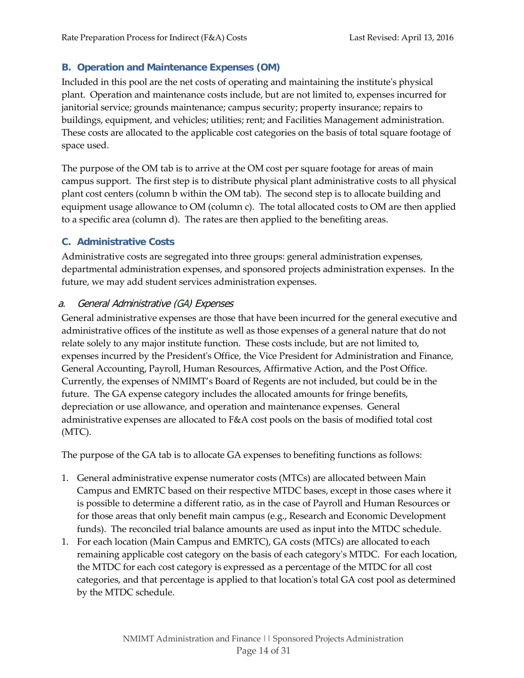# <span id="page-13-0"></span>**B. Operation and Maintenance Expenses (OM)**

Included in this pool are the net costs of operating and maintaining the institute's physical plant. Operation and maintenance costs include, but are not limited to, expenses incurred for janitorial service; grounds maintenance; campus security; property insurance; repairs to buildings, equipment, and vehicles; utilities; rent; and Facilities Management administration. These costs are allocated to the applicable cost categories on the basis of total square footage of space used.

The purpose of the OM tab is to arrive at the OM cost per square footage for areas of main campus support. The first step is to distribute physical plant administrative costs to all physical plant cost centers (column b within the OM tab). The second step is to allocate building and equipment usage allowance to OM (column c). The total allocated costs to OM are then applied to a specific area (column d). The rates are then applied to the benefiting areas.

# <span id="page-13-1"></span>**C. Administrative Costs**

Administrative costs are segregated into three groups: general administration expenses, departmental administration expenses, and sponsored projects administration expenses. In the future, we may add student services administration expenses.

# <span id="page-13-2"></span>a. General Administrative (GA) Expenses

General administrative expenses are those that have been incurred for the general executive and administrative offices of the institute as well as those expenses of a general nature that do not relate solely to any major institute function. These costs include, but are not limited to, expenses incurred by the President's Office, the Vice President for Administration and Finance, General Accounting, Payroll, Human Resources, Affirmative Action, and the Post Office. Currently, the expenses of NMIMT's Board of Regents are not included, but could be in the future. The GA expense category includes the allocated amounts for fringe benefits, depreciation or use allowance, and operation and maintenance expenses. General administrative expenses are allocated to F&A cost pools on the basis of modified total cost (MTC).

The purpose of the GA tab is to allocate GA expenses to benefiting functions as follows:

- 1. General administrative expense numerator costs (MTCs) are allocated between Main Campus and EMRTC based on their respective MTDC bases, except in those cases where it is possible to determine a different ratio, as in the case of Payroll and Human Resources or for those areas that only benefit main campus (e.g., Research and Economic Development funds). The reconciled trial balance amounts are used as input into the MTDC schedule.
- 1. For each location (Main Campus and EMRTC), GA costs (MTCs) are allocated to each remaining applicable cost category on the basis of each category's MTDC. For each location, the MTDC for each cost category is expressed as a percentage of the MTDC for all cost categories, and that percentage is applied to that location's total GA cost pool as determined by the MTDC schedule.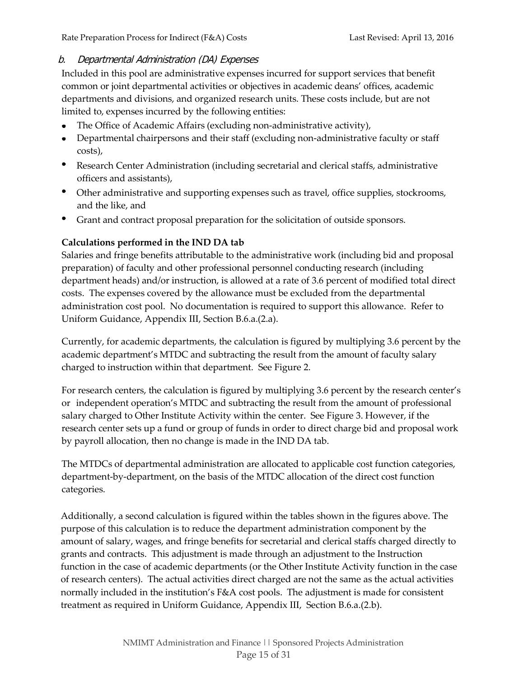# <span id="page-14-0"></span>b. Departmental Administration (DA) Expenses

Included in this pool are administrative expenses incurred for support services that benefit common or joint departmental activities or objectives in academic deans' offices, academic departments and divisions, and organized research units. These costs include, but are not limited to, expenses incurred by the following entities:

- The Office of Academic Affairs (excluding non-administrative activity),
- Departmental chairpersons and their staff (excluding non-administrative faculty or staff costs),
- Research Center Administration (including secretarial and clerical staffs, administrative officers and assistants),
- Other administrative and supporting expenses such as travel, office supplies, stockrooms, and the like, and
- Grant and contract proposal preparation for the solicitation of outside sponsors.

# **Calculations performed in the IND DA tab**

Salaries and fringe benefits attributable to the administrative work (including bid and proposal preparation) of faculty and other professional personnel conducting research (including department heads) and/or instruction, is allowed at a rate of 3.6 percent of modified total direct costs. The expenses covered by the allowance must be excluded from the departmental administration cost pool. No documentation is required to support this allowance. Refer to Uniform Guidance, Appendix III, Section B.6.a.(2.a).

Currently, for academic departments, the calculation is figured by multiplying 3.6 percent by the academic department's MTDC and subtracting the result from the amount of faculty salary charged to instruction within that department. See [Figure](#page-15-0) 2.

For research centers, the calculation is figured by multiplying 3.6 percent by the research center's or independent operation's MTDC and subtracting the result from the amount of professional salary charged to Other Institute Activity within the center. See [Figure](#page-16-0) 3. However, if the research center sets up a fund or group of funds in order to direct charge bid and proposal work by payroll allocation, then no change is made in the IND DA tab.

The MTDCs of departmental administration are allocated to applicable cost function categories, department-by-department, on the basis of the MTDC allocation of the direct cost function categories.

Additionally, a second calculation is figured within the tables shown in the figures above. The purpose of this calculation is to reduce the department administration component by the amount of salary, wages, and fringe benefits for secretarial and clerical staffs charged directly to grants and contracts. This adjustment is made through an adjustment to the Instruction function in the case of academic departments (or the Other Institute Activity function in the case of research centers). The actual activities direct charged are not the same as the actual activities normally included in the institution's F&A cost pools. The adjustment is made for consistent treatment as required in Uniform Guidance, Appendix III, Section B.6.a.(2.b).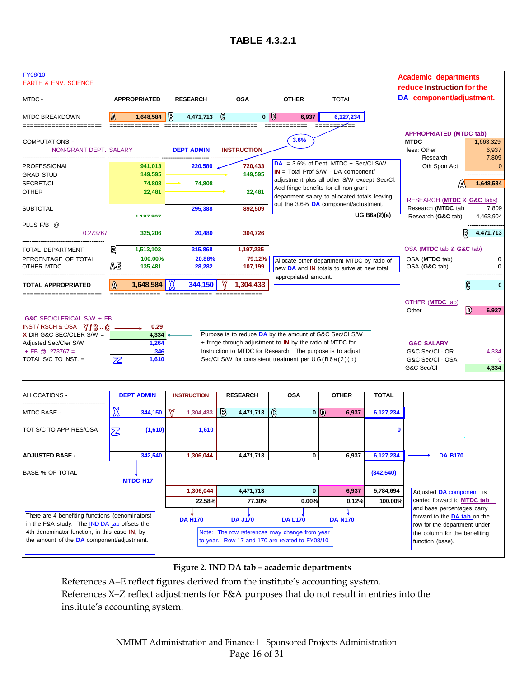

**Figure 2. IND DA tab – academic departments**

<span id="page-15-0"></span>References A–E reflect figures derived from the institute's accounting system. References X–Z reflect adjustments for F&A purposes that do not result in entries into the institute's accounting system.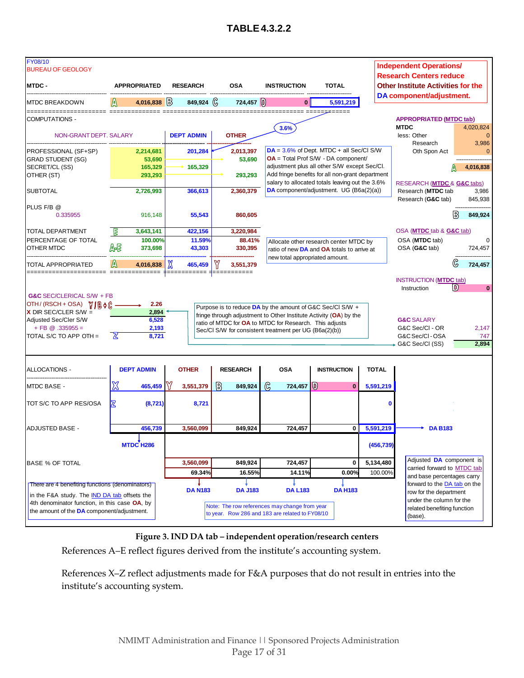# **TABLE4.3.2.2**



**Figure 3. IND DA tab – independent operation/research centers**

<span id="page-16-0"></span>References A–E reflect figures derived from the institute's accounting system.

References X–Z reflect adjustments made for F&A purposes that do not result in entries into the institute's accounting system.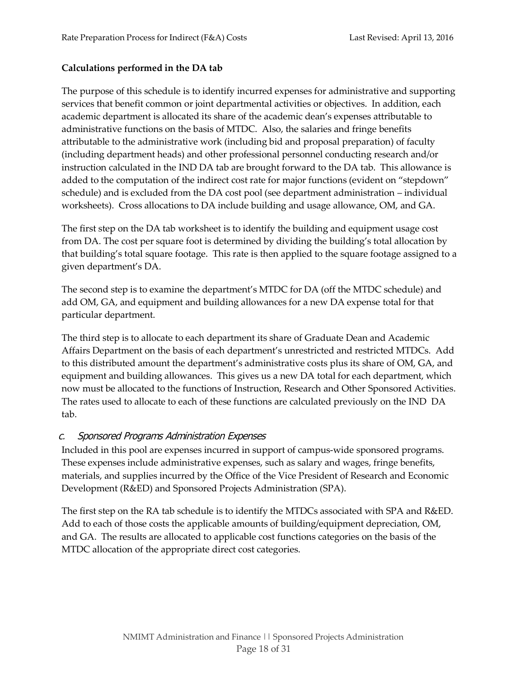# **Calculations performed in the DA tab**

The purpose of this schedule is to identify incurred expenses for administrative and supporting services that benefit common or joint departmental activities or objectives. In addition, each academic department is allocated its share of the academic dean's expenses attributable to administrative functions on the basis of MTDC. Also, the salaries and fringe benefits attributable to the administrative work (including bid and proposal preparation) of faculty (including department heads) and other professional personnel conducting research and/or instruction calculated in the IND DA tab are brought forward to the DA tab. This allowance is added to the computation of the indirect cost rate for major functions (evident on "stepdown" schedule) and is excluded from the DA cost pool (see department administration – individual worksheets). Cross allocations to DA include building and usage allowance, OM, and GA.

The first step on the DA tab worksheet is to identify the building and equipment usage cost from DA. The cost per square foot is determined by dividing the building's total allocation by that building's total square footage. This rate is then applied to the square footage assigned to a given department's DA.

The second step is to examine the department's MTDC for DA (off the MTDC schedule) and add OM, GA, and equipment and building allowances for a new DA expense total for that particular department.

The third step is to allocate to each department its share of Graduate Dean and Academic Affairs Department on the basis of each department's unrestricted and restricted MTDCs. Add to this distributed amount the department's administrative costs plus its share of OM, GA, and equipment and building allowances. This gives us a new DA total for each department, which now must be allocated to the functions of Instruction, Research and Other Sponsored Activities. The rates used to allocate to each of these functions are calculated previously on the IND DA tab.

# <span id="page-17-0"></span>c. Sponsored Programs Administration Expenses

Included in this pool are expenses incurred in support of campus-wide sponsored programs. These expenses include administrative expenses, such as salary and wages, fringe benefits, materials, and supplies incurred by the Office of the Vice President of Research and Economic Development (R&ED) and Sponsored Projects Administration (SPA).

The first step on the RA tab schedule is to identify the MTDCs associated with SPA and R&ED. Add to each of those costs the applicable amounts of building/equipment depreciation, OM, and GA. The results are allocated to applicable cost functions categories on the basis of the MTDC allocation of the appropriate direct cost categories.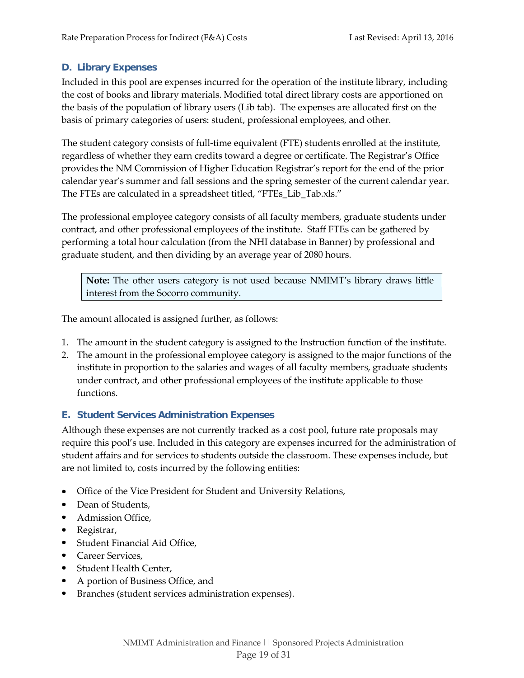#### <span id="page-18-0"></span>**D. Library Expenses**

Included in this pool are expenses incurred for the operation of the institute library, including the cost of books and library materials. Modified total direct library costs are apportioned on the basis of the population of library users (Lib tab). The expenses are allocated first on the basis of primary categories of users: student, professional employees, and other.

The student category consists of full-time equivalent (FTE) students enrolled at the institute, regardless of whether they earn credits toward a degree or certificate. The Registrar's Office provides the NM Commission of Higher Education Registrar's report for the end of the prior calendar year's summer and fall sessions and the spring semester of the current calendar year. The FTEs are calculated in a spreadsheet titled, "FTEs\_Lib\_Tab.xls."

The professional employee category consists of all faculty members, graduate students under contract, and other professional employees of the institute. Staff FTEs can be gathered by performing a total hour calculation (from the NHI database in Banner) by professional and graduate student, and then dividing by an average year of 2080 hours.

**Note:** The other users category is not used because NMIMT's library draws little interest from the Socorro community.

The amount allocated is assigned further, as follows:

- 1. The amount in the student category is assigned to the Instruction function of the institute.
- 2. The amount in the professional employee category is assigned to the major functions of the institute in proportion to the salaries and wages of all faculty members, graduate students under contract, and other professional employees of the institute applicable to those functions.

# <span id="page-18-1"></span>**E. Student Services Administration Expenses**

Although these expenses are not currently tracked as a cost pool, future rate proposals may require this pool's use. Included in this category are expenses incurred for the administration of student affairs and for services to students outside the classroom. These expenses include, but are not limited to, costs incurred by the following entities:

- Office of the Vice President for Student and University Relations,
- Dean of Students,
- Admission Office,
- Registrar,
- Student Financial Aid Office,
- Career Services,
- Student Health Center,
- A portion of Business Office, and
- Branches (student services administration expenses).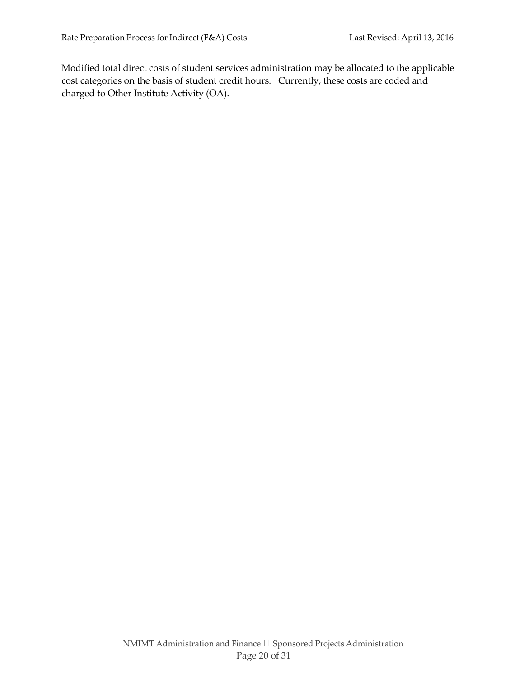Modified total direct costs of student services administration may be allocated to the applicable cost categories on the basis of student credit hours. Currently, these costs are coded and charged to Other Institute Activity (OA).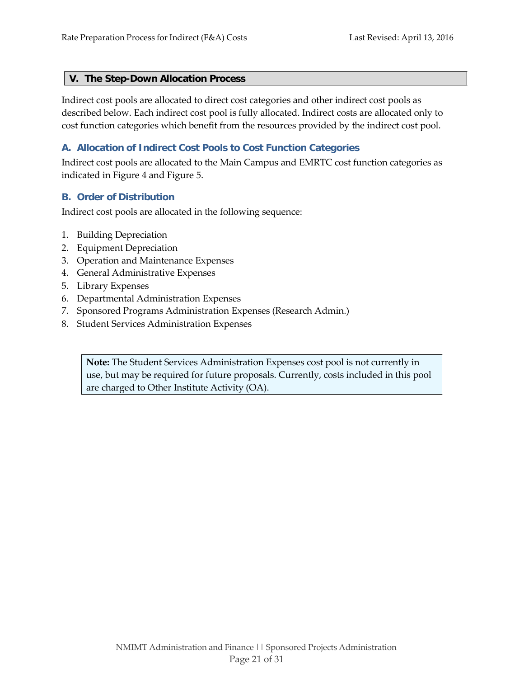#### <span id="page-20-0"></span>**V. The Step-Down Allocation Process**

Indirect cost pools are allocated to direct cost categories and other indirect cost pools as described below. Each indirect cost pool is fully allocated. Indirect costs are allocated only to cost function categories which benefit from the resources provided by the indirect cost pool.

#### <span id="page-20-1"></span>**A. Allocation of Indirect Cost Pools to Cost Function Categories**

Indirect cost pools are allocated to the Main Campus and EMRTC cost function categories as indicated in [Figure](#page-21-0) 4 and [Figure](#page-21-1) 5.

#### <span id="page-20-2"></span>**B. Order of Distribution**

Indirect cost pools are allocated in the following sequence:

- 1. Building Depreciation
- 2. Equipment Depreciation
- 3. Operation and Maintenance Expenses
- 4. General Administrative Expenses
- 5. Library Expenses
- 6. Departmental Administration Expenses
- 7. Sponsored Programs Administration Expenses (Research Admin.)
- 8. Student Services Administration Expenses

**Note:** The Student Services Administration Expenses cost pool is not currently in use, but may be required for future proposals. Currently, costs included in this pool are charged to Other Institute Activity (OA).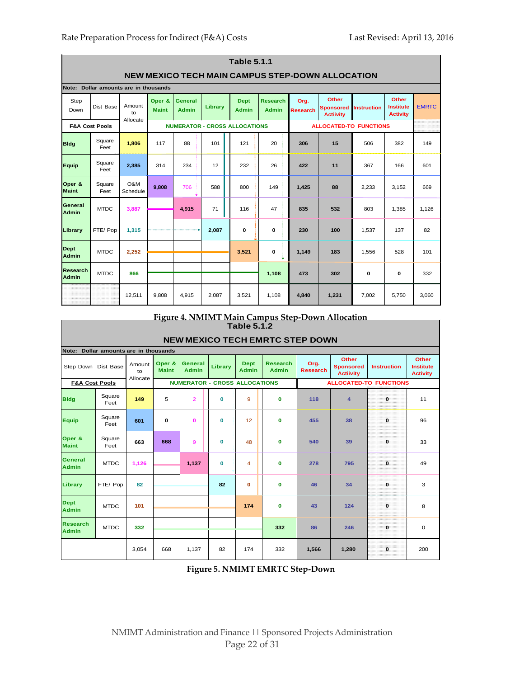$\blacksquare$ 

| <b>Table 5.1.1</b>                               |                           |                          |                        |                                |         |                                      |                                 |                         |                                               |                    |                                              |              |
|--------------------------------------------------|---------------------------|--------------------------|------------------------|--------------------------------|---------|--------------------------------------|---------------------------------|-------------------------|-----------------------------------------------|--------------------|----------------------------------------------|--------------|
| NEW MEXICO TECH MAIN CAMPUS STEP-DOWN ALLOCATION |                           |                          |                        |                                |         |                                      |                                 |                         |                                               |                    |                                              |              |
| Note: Dollar amounts are in thousands            |                           |                          |                        |                                |         |                                      |                                 |                         |                                               |                    |                                              |              |
| Step<br>Down                                     | Dist Base                 | Amount<br>to<br>Allocate | Oper &<br><b>Maint</b> | <b>General</b><br><b>Admin</b> | Library | <b>Dept</b><br><b>Admin</b>          | <b>Research</b><br><b>Admin</b> | Org.<br><b>Research</b> | Other<br><b>Sponsored</b><br><b>Actiivity</b> | <b>Instruction</b> | Other<br><b>Institute</b><br><b>Activity</b> | <b>EMRTC</b> |
|                                                  | <b>F&amp;A Cost Pools</b> |                          |                        |                                |         | <b>NUMERATOR - CROSS ALLOCATIONS</b> |                                 |                         | <b>ALLOCATED-TO FUNCTIONS</b>                 |                    |                                              |              |
| <b>Bldg</b>                                      | Square<br>Feet            | 1,806                    | 117                    | 88                             | 101     | 121                                  | 20                              | 306                     | 15                                            | 506                | 382                                          | 149          |
| Equip                                            | Square<br>Feet            | 2.385                    | 314                    | 234                            | 12      | 232                                  | 26                              | 422                     | 11                                            | 367                | 166                                          | 601          |
| Oper &<br>Maint                                  | Square<br>Feet            | O&M<br>Schedule          | 9.808                  | 706                            | 588     | 800                                  | 149                             | 1,425                   | 88                                            | 2,233              | 3,152                                        | 669          |
| General<br><b>Admin</b>                          | <b>MTDC</b>               | 3.887                    |                        | 4,915                          | 71      | 116                                  | 47                              | 835                     | 532                                           | 803                | 1,385                                        | 1.126        |
| Library                                          | FTE/Pop                   | 1,315                    |                        |                                | 2,087   | $\bf{0}$                             | $\bf{0}$                        | 230                     | 100                                           | 1,537              | 137                                          | 82           |
| <b>Dept</b><br><b>Admin</b>                      | <b>MTDC</b>               | 2,252                    |                        |                                |         | 3,521                                | $\mathbf 0$                     | 1,149                   | 183                                           | 1,556              | 528                                          | 101          |
| Research<br>Admin                                | <b>MTDC</b>               | 866                      |                        |                                |         |                                      | 1,108                           | 473                     | 302                                           | 0                  | 0                                            | 332          |
|                                                  |                           | 12,511                   | 9,808                  | 4,915                          | 2,087   | 3.521                                | 1,108                           | 4,840                   | 1,231                                         | 7,002              | 5,750                                        | 3.060        |

#### **Table 5.1.2 Figure 4. NMIMT Main Campus Step-Down Allocation**

<span id="page-21-0"></span>

|                                       | <b>NEW MEXICO TECH EMRTC STEP DOWN</b> |                          |                        |                                      |             |                             |                                 |                               |                                               |                    |                                              |  |
|---------------------------------------|----------------------------------------|--------------------------|------------------------|--------------------------------------|-------------|-----------------------------|---------------------------------|-------------------------------|-----------------------------------------------|--------------------|----------------------------------------------|--|
| Note: Dollar amounts are in thousands |                                        |                          |                        |                                      |             |                             |                                 |                               |                                               |                    |                                              |  |
| Step Down Dist Base                   |                                        | Amount<br>to<br>Allocate | Oper &<br><b>Maint</b> | <b>General</b><br><b>Admin</b>       | Library     | <b>Dept</b><br><b>Admin</b> | <b>Research</b><br><b>Admin</b> | Org.<br><b>Research</b>       | Other<br><b>Sponsored</b><br><b>Actiivity</b> | <b>Instruction</b> | Other<br><b>Institute</b><br><b>Activity</b> |  |
| <b>F&amp;A Cost Pools</b>             |                                        |                          |                        | <b>NUMERATOR - CROSS ALLOCATIONS</b> |             |                             |                                 | <b>ALLOCATED-TO FUNCTIONS</b> |                                               |                    |                                              |  |
| <b>Bldg</b>                           | Square<br>Feet                         | 149                      | 5                      | $\overline{2}$                       | $\mathbf 0$ | 9                           | $\mathbf 0$                     | 118                           | $\blacktriangle$                              | $\bf{0}$           | 11                                           |  |
| <b>Equip</b>                          | Square<br>Feet                         | 601                      | 0                      | $\mathbf 0$                          | $\mathbf 0$ | 12                          | $\mathbf 0$                     | 455                           | 38                                            | $\bf{0}$           | 96                                           |  |
| Oper &<br><b>Maint</b>                | Square<br>Feet                         | 663                      | 668                    | 9                                    | $\mathbf 0$ | 48                          | $\mathbf{0}$                    | 540                           | 39                                            | $\mathbf 0$        | 33                                           |  |
| <b>General</b><br><b>Admin</b>        | <b>MTDC</b>                            | 1.126                    |                        | 1,137                                | $\mathbf 0$ | 4                           | $\mathbf{0}$                    | 278                           | 795                                           | $\bf{o}$           | 49                                           |  |
| Library                               | FTE/ Pop                               | 82                       |                        |                                      | 82          | $\bf{0}$                    | $\mathbf 0$                     | 46                            | 34                                            | $\bf{0}$           | 3                                            |  |
| <b>Dept</b><br><b>Admin</b>           | <b>MTDC</b>                            | 101                      |                        |                                      |             | 174                         | $\bf{0}$                        | 43                            | 124                                           | $\bf{0}$           | 8                                            |  |
| <b>Research</b><br><b>Admin</b>       | <b>MTDC</b>                            | 332                      |                        |                                      |             |                             | 332                             | 86                            | 246                                           | $\bf{0}$           | $\mathbf 0$                                  |  |
|                                       |                                        | 3,054                    | 668                    | 1,137                                | 82          | 174                         | 332                             | 1,566                         | 1,280                                         | $\bf{0}$           | 200                                          |  |

<span id="page-21-1"></span>**Figure 5. NMIMT EMRTC Step-Down**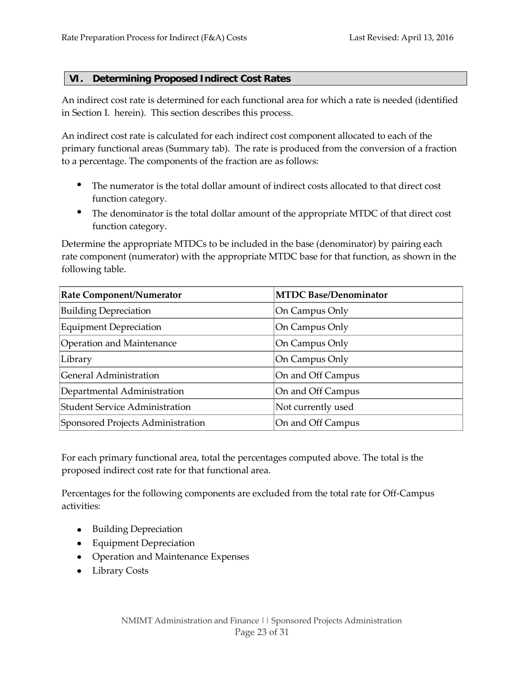#### <span id="page-22-0"></span>**VI. Determining Proposed Indirect Cost Rates**

An indirect cost rate is determined for each functional area for which a rate is needed (identified in Section [I.](#page-3-0) herein). This section describes this process.

An indirect cost rate is calculated for each indirect cost component allocated to each of the primary functional areas (Summary tab). The rate is produced from the conversion of a fraction to a percentage. The components of the fraction are as follows:

- The numerator is the total dollar amount of indirect costs allocated to that direct cost function category.
- The denominator is the total dollar amount of the appropriate MTDC of that direct cost function category.

Determine the appropriate MTDCs to be included in the base (denominator) by pairing each rate component (numerator) with the appropriate MTDC base for that function, as shown in the following table.

| <b>Rate Component/Numerator</b>       | <b>MTDC Base/Denominator</b> |  |  |  |  |
|---------------------------------------|------------------------------|--|--|--|--|
| <b>Building Depreciation</b>          | On Campus Only               |  |  |  |  |
| <b>Equipment Depreciation</b>         | On Campus Only               |  |  |  |  |
| Operation and Maintenance             | On Campus Only               |  |  |  |  |
| Library                               | On Campus Only               |  |  |  |  |
| <b>General Administration</b>         | On and Off Campus            |  |  |  |  |
| Departmental Administration           | On and Off Campus            |  |  |  |  |
| <b>Student Service Administration</b> | Not currently used           |  |  |  |  |
| Sponsored Projects Administration     | On and Off Campus            |  |  |  |  |

For each primary functional area, total the percentages computed above. The total is the proposed indirect cost rate for that functional area.

Percentages for the following components are excluded from the total rate for Off-Campus activities:

- Building Depreciation  $\bullet$
- Equipment Depreciation
- Operation and Maintenance Expenses
- Library Costs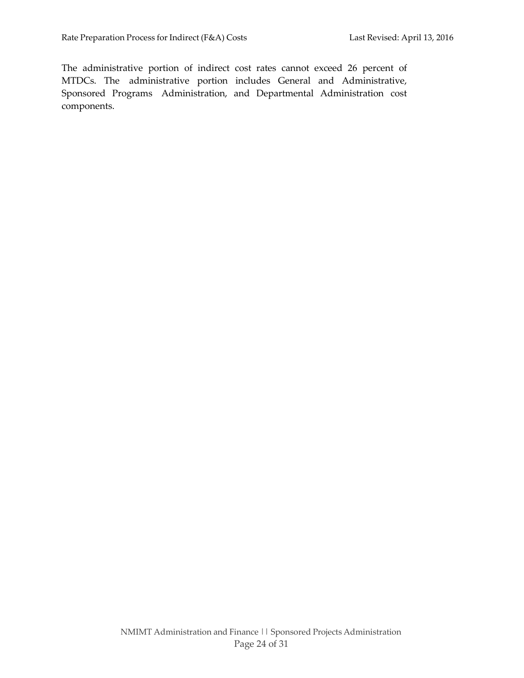The administrative portion of indirect cost rates cannot exceed 26 percent of MTDCs. The administrative portion includes General and Administrative, Sponsored Programs Administration, and Departmental Administration cost components.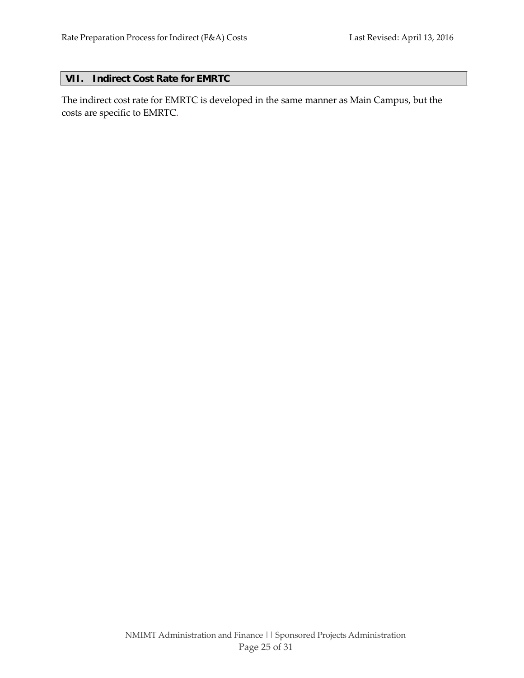#### <span id="page-24-0"></span>**VII. Indirect Cost Rate for EMRTC**

The indirect cost rate for EMRTC is developed in the same manner as Main Campus, but the costs are specific to EMRTC.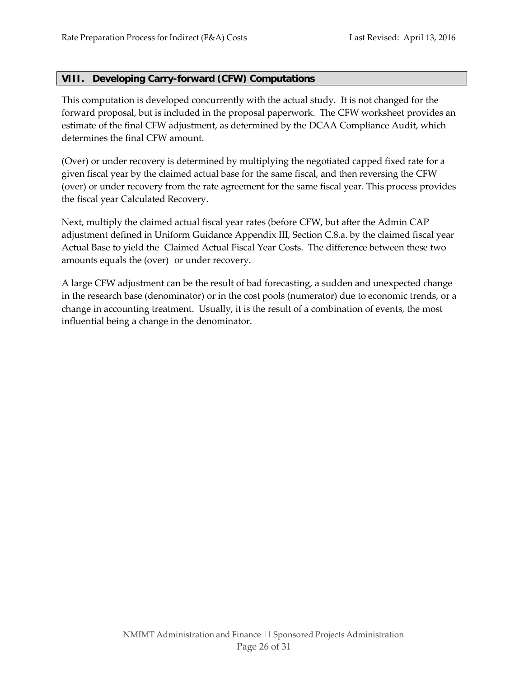#### <span id="page-25-0"></span>**VIII. Developing Carry-forward (CFW) Computations**

This computation is developed concurrently with the actual study. It is not changed for the forward proposal, but is included in the proposal paperwork. The CFW worksheet provides an estimate of the final CFW adjustment, as determined by the DCAA Compliance Audit, which determines the final CFW amount.

(Over) or under recovery is determined by multiplying the negotiated capped fixed rate for a given fiscal year by the claimed actual base for the same fiscal, and then reversing the CFW (over) or under recovery from the rate agreement for the same fiscal year. This process provides the fiscal year Calculated Recovery.

Next, multiply the claimed actual fiscal year rates (before CFW, but after the Admin CAP adjustment defined in Uniform Guidance Appendix III, Section C.8.a. by the claimed fiscal year Actual Base to yield the Claimed Actual Fiscal Year Costs. The difference between these two amounts equals the (over) or under recovery.

A large CFW adjustment can be the result of bad forecasting, a sudden and unexpected change in the research base (denominator) or in the cost pools (numerator) due to economic trends, or a change in accounting treatment. Usually, it is the result of a combination of events, the most influential being a change in the denominator.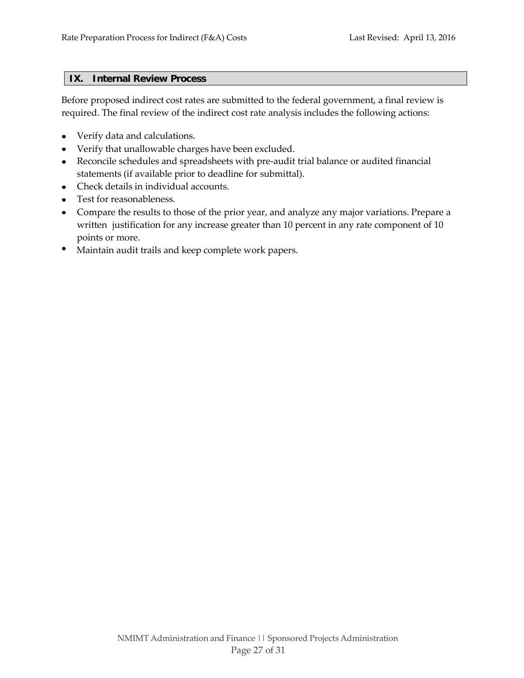#### <span id="page-26-0"></span>**IX. Internal Review Process**

Before proposed indirect cost rates are submitted to the federal government, a final review is required. The final review of the indirect cost rate analysis includes the following actions:

- Verify data and calculations.
- Verify that unallowable charges have been excluded.  $\bullet$
- Reconcile schedules and spreadsheets with pre-audit trial balance or audited financial statements (if available prior to deadline for submittal).
- Check details in individual accounts.
- Test for reasonableness.
- Compare the results to those of the prior year, and analyze any major variations. Prepare a written justification for any increase greater than 10 percent in any rate component of 10 points or more.
- $\bullet$ Maintain audit trails and keep complete work papers.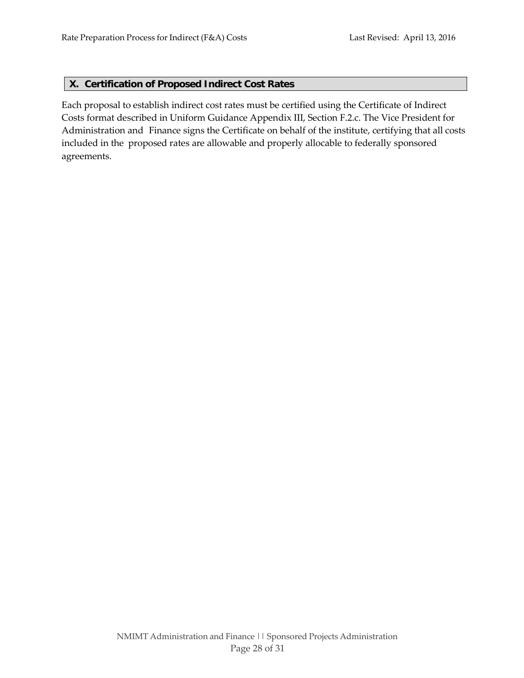#### <span id="page-27-0"></span>**X. Certification of Proposed Indirect Cost Rates**

Each proposal to establish indirect cost rates must be certified using the Certificate of Indirect Costs format described in Uniform Guidance Appendix III, Section F.2.c. The Vice President for Administration and Finance signs the Certificate on behalf of the institute, certifying that all costs included in the proposed rates are allowable and properly allocable to federally sponsored agreements.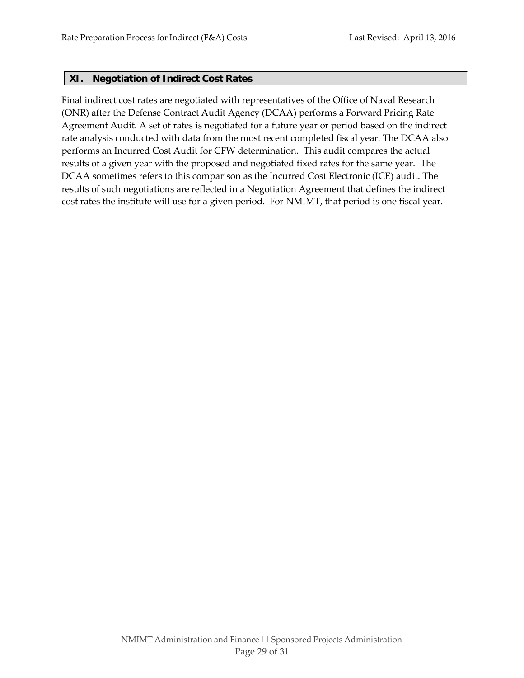#### <span id="page-28-0"></span>**XI. Negotiation of Indirect Cost Rates**

Final indirect cost rates are negotiated with representatives of the Office of Naval Research (ONR) after the Defense Contract Audit Agency (DCAA) performs a Forward Pricing Rate Agreement Audit. A set of rates is negotiated for a future year or period based on the indirect rate analysis conducted with data from the most recent completed fiscal year. The DCAA also performs an Incurred Cost Audit for CFW determination. This audit compares the actual results of a given year with the proposed and negotiated fixed rates for the same year. The DCAA sometimes refers to this comparison as the Incurred Cost Electronic (ICE) audit. The results of such negotiations are reflected in a Negotiation Agreement that defines the indirect cost rates the institute will use for a given period. For NMIMT, that period is one fiscal year.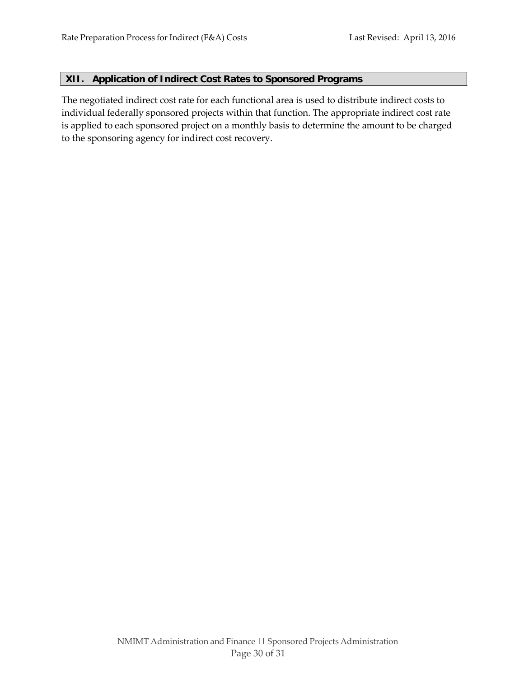#### **XII. Application of Indirect Cost Rates to Sponsored Programs**

<span id="page-29-0"></span>The negotiated indirect cost rate for each functional area is used to distribute indirect costs to individual federally sponsored projects within that function. The appropriate indirect cost rate is applied to each sponsored project on a monthly basis to determine the amount to be charged to the sponsoring agency for indirect cost recovery.